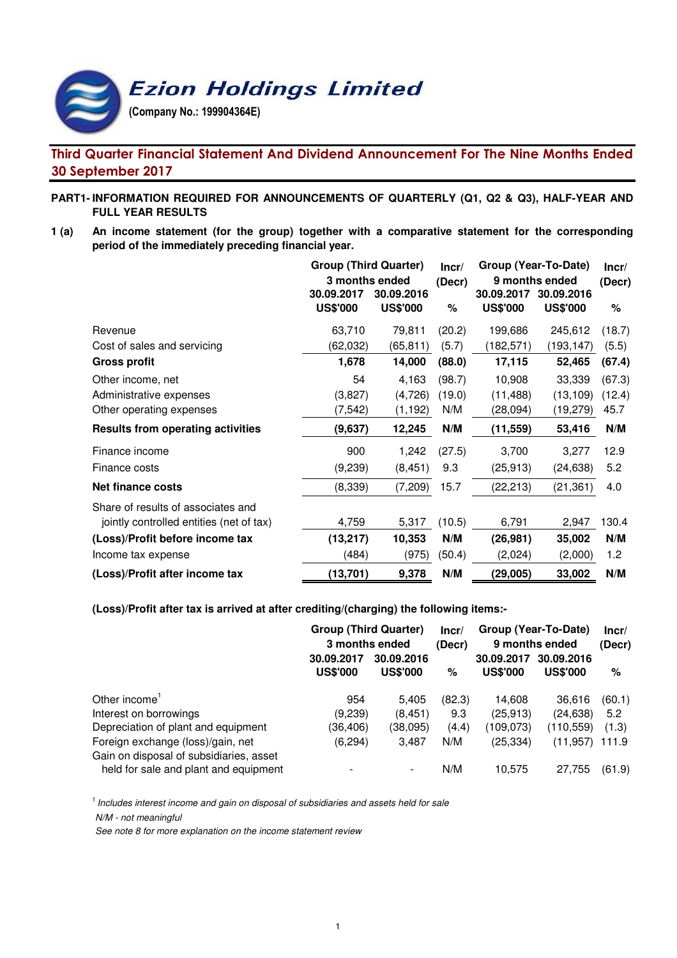**Ezion Holdings Limited** 

(Company No.: 199904364E)

# Third Quarter Financial Statement And Dividend Announcement For The Nine Months Ended 30 September 2017

# **PART1- INFORMATION REQUIRED FOR ANNOUNCEMENTS OF QUARTERLY (Q1, Q2 & Q3), HALF-YEAR AND FULL YEAR RESULTS**

**1 (a) An income statement (for the group) together with a comparative statement for the corresponding period of the immediately preceding financial year.**

|                                          | <b>Group (Third Quarter)</b> | Incr/           | Group (Year-To-Date) | Incr/           |                 |        |
|------------------------------------------|------------------------------|-----------------|----------------------|-----------------|-----------------|--------|
|                                          | 3 months ended               | (Decr)          | 9 months ended       | (Decr)          |                 |        |
|                                          | 30.09.2017                   | 30.09.2016      |                      | 30.09.2017      | 30.09.2016      |        |
|                                          | <b>US\$'000</b>              | <b>US\$'000</b> | ℅                    | <b>US\$'000</b> | <b>US\$'000</b> | %      |
| Revenue                                  | 63,710                       | 79,811          | (20.2)               | 199,686         | 245,612         | (18.7) |
| Cost of sales and servicing              | (62,032)                     | (65, 811)       | (5.7)                | (182,571)       | (193, 147)      | (5.5)  |
| <b>Gross profit</b>                      | 1,678                        | 14,000          | (88.0)               | 17,115          | 52,465          | (67.4) |
| Other income, net                        | 54                           | 4,163           | (98.7)               | 10,908          | 33,339          | (67.3) |
| Administrative expenses                  | (3,827)                      | (4,726)         | (19.0)               | (11,488)        | (13, 109)       | (12.4) |
| Other operating expenses                 | (7, 542)                     | (1, 192)        | N/M                  | (28,094)        | (19,279)        | 45.7   |
| <b>Results from operating activities</b> | (9,637)                      | 12,245          | N/M                  | (11, 559)       | 53,416          | N/M    |
| Finance income                           | 900                          | 1,242           | (27.5)               | 3,700           | 3,277           | 12.9   |
| Finance costs                            | (9,239)                      | (8, 451)        | 9.3                  | (25, 913)       | (24,638)        | 5.2    |
| <b>Net finance costs</b>                 | (8,339)                      | (7,209)         | 15.7                 | (22, 213)       | (21, 361)       | 4.0    |
| Share of results of associates and       |                              |                 |                      |                 |                 |        |
| jointly controlled entities (net of tax) | 4,759                        | 5,317           | (10.5)               | 6,791           | 2,947           | 130.4  |
| (Loss)/Profit before income tax          | (13, 217)                    | 10,353          | N/M                  | (26, 981)       | 35,002          | N/M    |
| Income tax expense                       | (484)                        | (975)           | (50.4)               | (2,024)         | (2,000)         | 1.2    |
| (Loss)/Profit after income tax           | (13, 701)                    | 9,378           | N/M                  | (29,005)        | 33,002          | N/M    |

**(Loss)/Profit after tax is arrived at after crediting/(charging) the following items:-**

|                                                                              | <b>Group (Third Quarter)</b>               | Incr/           | Group (Year-To-Date) | Incr/<br>(Decr) |                               |        |
|------------------------------------------------------------------------------|--------------------------------------------|-----------------|----------------------|-----------------|-------------------------------|--------|
|                                                                              | 3 months ended<br>30.09.2016<br>30.09.2017 |                 | (Decr)               |                 | 9 months ended<br>30.09.2017  |        |
|                                                                              | <b>US\$'000</b>                            | <b>US\$'000</b> | %                    | <b>US\$'000</b> | 30.09.2016<br><b>US\$'000</b> | %      |
| Other income'                                                                | 954                                        | 5,405           | (82.3)               | 14,608          | 36,616                        | (60.1) |
| Interest on borrowings                                                       | (9,239)                                    | (8, 451)        | 9.3                  | (25, 913)       | (24, 638)                     | 5.2    |
| Depreciation of plant and equipment                                          | (36,406)                                   | (38,095)        | (4.4)                | (109.073)       | (110, 559)                    | (1.3)  |
| Foreign exchange (loss)/gain, net<br>Gain on disposal of subsidiaries, asset | (6, 294)                                   | 3,487           | N/M                  | (25, 334)       | (11, 957)                     | 111.9  |
| held for sale and plant and equipment                                        |                                            | ۰.              | N/M                  | 10.575          | 27,755                        | (61.9) |

 $<sup>1</sup>$  Includes interest income and gain on disposal of subsidiaries and assets held for sale</sup> N/M - not meaningful

See note 8 for more explanation on the income statement review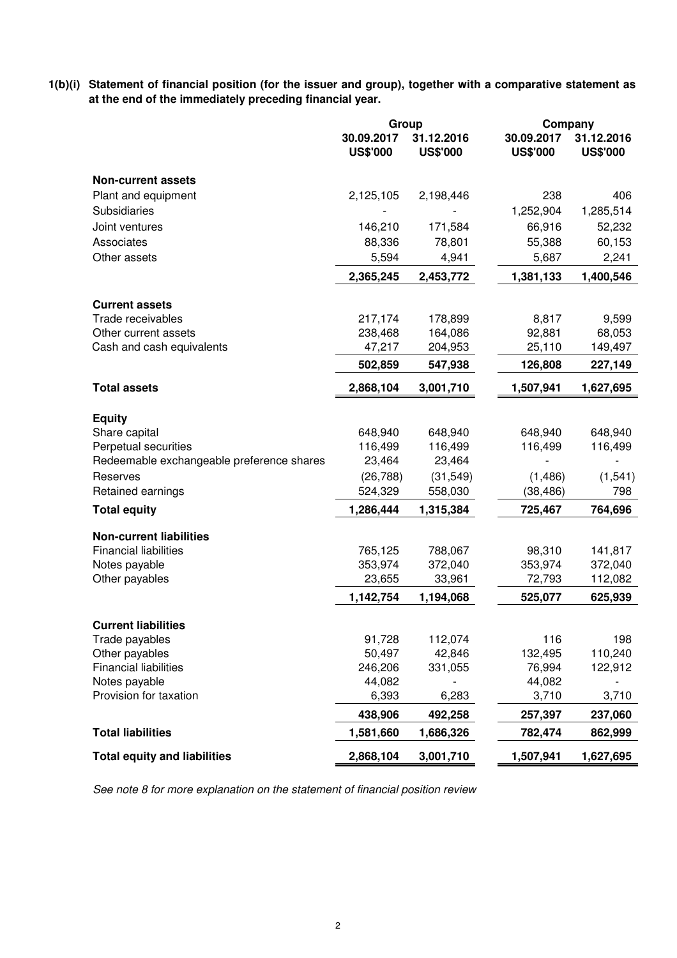**1(b)(i) Statement of financial position (for the issuer and group), together with a comparative statement as at the end of the immediately preceding financial year.**

|                                                                   | Group                         |                               | Company                       |                               |
|-------------------------------------------------------------------|-------------------------------|-------------------------------|-------------------------------|-------------------------------|
|                                                                   | 30.09.2017<br><b>US\$'000</b> | 31.12.2016<br><b>US\$'000</b> | 30.09.2017<br><b>US\$'000</b> | 31.12.2016<br><b>US\$'000</b> |
| <b>Non-current assets</b>                                         |                               |                               |                               |                               |
| Plant and equipment                                               | 2,125,105                     | 2,198,446                     | 238                           | 406                           |
| Subsidiaries                                                      |                               |                               | 1,252,904                     | 1,285,514                     |
| Joint ventures                                                    | 146,210                       | 171,584                       | 66,916                        | 52,232                        |
| Associates                                                        | 88,336                        | 78,801                        | 55,388                        | 60,153                        |
| Other assets                                                      | 5,594                         | 4,941                         | 5,687                         | 2,241                         |
|                                                                   | 2,365,245                     | 2,453,772                     | 1,381,133                     | 1,400,546                     |
| <b>Current assets</b>                                             |                               |                               |                               |                               |
| Trade receivables                                                 | 217,174                       | 178,899                       | 8,817                         | 9,599                         |
| Other current assets                                              | 238,468                       | 164,086                       | 92,881                        | 68,053                        |
| Cash and cash equivalents                                         | 47,217                        | 204,953                       | 25,110                        | 149,497                       |
|                                                                   | 502,859                       | 547,938                       | 126,808                       | 227,149                       |
| <b>Total assets</b>                                               | 2,868,104                     | 3,001,710                     | 1,507,941                     | 1,627,695                     |
|                                                                   |                               |                               |                               |                               |
| <b>Equity</b>                                                     |                               |                               |                               |                               |
| Share capital                                                     | 648,940<br>116,499            | 648,940                       | 648,940                       | 648,940                       |
| Perpetual securities<br>Redeemable exchangeable preference shares | 23,464                        | 116,499<br>23,464             | 116,499                       | 116,499                       |
| Reserves                                                          | (26, 788)                     | (31, 549)                     | (1,486)                       | (1, 541)                      |
| Retained earnings                                                 | 524,329                       | 558,030                       | (38, 486)                     | 798                           |
| <b>Total equity</b>                                               | 1,286,444                     | 1,315,384                     | 725,467                       | 764,696                       |
|                                                                   |                               |                               |                               |                               |
| <b>Non-current liabilities</b>                                    |                               |                               |                               |                               |
| <b>Financial liabilities</b>                                      | 765,125                       | 788,067                       | 98,310                        | 141,817                       |
| Notes payable<br>Other payables                                   | 353,974<br>23,655             | 372,040<br>33,961             | 353,974<br>72,793             | 372,040<br>112,082            |
|                                                                   | 1,142,754                     | 1,194,068                     | 525,077                       | 625,939                       |
|                                                                   |                               |                               |                               |                               |
| <b>Current liabilities</b>                                        |                               |                               |                               |                               |
| Trade payables                                                    | 91,728                        | 112,074                       | 116                           | 198                           |
| Other payables                                                    | 50,497                        | 42,846                        | 132,495                       | 110,240                       |
| <b>Financial liabilities</b>                                      | 246,206                       | 331,055                       | 76,994                        | 122,912                       |
| Notes payable                                                     | 44,082                        |                               | 44,082                        |                               |
| Provision for taxation                                            | 6,393                         | 6,283                         | 3,710                         | 3,710                         |
|                                                                   | 438,906                       | 492,258                       | 257,397                       | 237,060                       |
| <b>Total liabilities</b>                                          | 1,581,660                     | 1,686,326                     | 782,474                       | 862,999                       |
| <b>Total equity and liabilities</b>                               | 2,868,104                     | 3,001,710                     | 1,507,941                     | 1,627,695                     |

See note 8 for more explanation on the statement of financial position review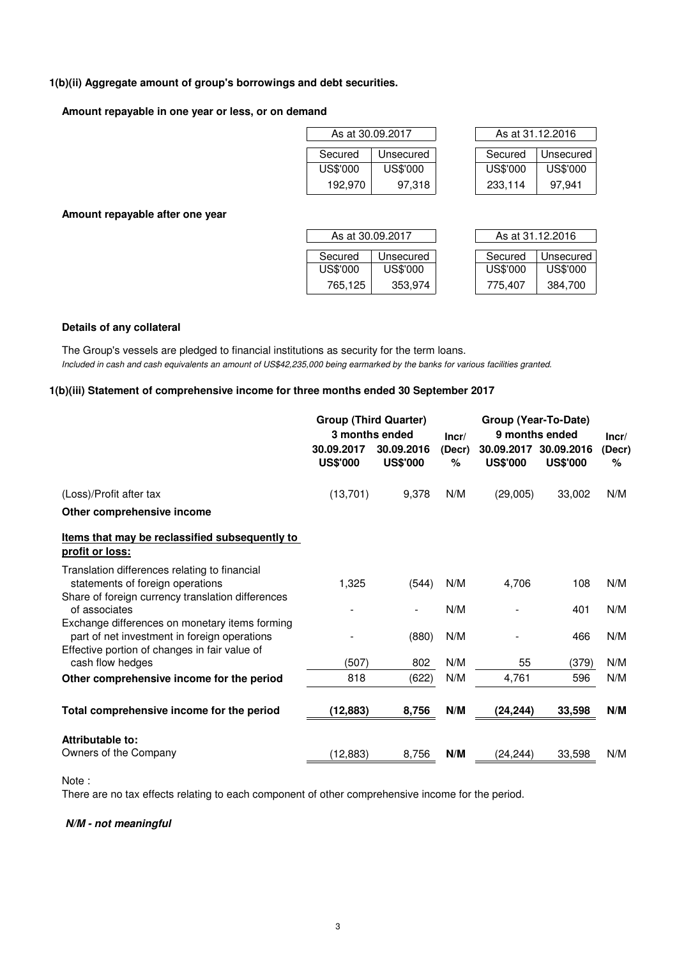### **1(b)(ii) Aggregate amount of group's borrowings and debt securities.**

#### **Amount repayable in one year or less, or on demand**

| As at 30.09.2017 |           |  | As at 31.12.2016 |          |  |  |
|------------------|-----------|--|------------------|----------|--|--|
| Secured          | Unsecured |  | Secured          | Unsecure |  |  |
| US\$'000         | US\$'000  |  | US\$'000         | US\$'000 |  |  |
| 192,970          | 97,318    |  | 233,114          | 97.941   |  |  |

| As at 30.09.2017 |           |  | As at 31.12.2016 |           |  |  |  |
|------------------|-----------|--|------------------|-----------|--|--|--|
| Secured          | Unsecured |  | Secured          | Unsecured |  |  |  |
| US\$'000         | US\$'000  |  | US\$'000         | US\$'000  |  |  |  |
| 192.970          | 97,318    |  | 233,114          | 97.941    |  |  |  |

**Amount repayable after one year**

| As at 30.09.2017 |           |  | As at 31.12.2016 |           |  |  |  |
|------------------|-----------|--|------------------|-----------|--|--|--|
| Secured          | Unsecured |  | Secured          | Unsecured |  |  |  |
| US\$'000         | US\$'000  |  | US\$'000         | US\$'000  |  |  |  |
| 765.125          | 353,974   |  | 775.407          | 384.700   |  |  |  |

| As at 31.12.2016 |                 |  |  |  |  |  |  |
|------------------|-----------------|--|--|--|--|--|--|
|                  |                 |  |  |  |  |  |  |
| Secured          | Unsecured       |  |  |  |  |  |  |
| US\$'000         | <b>US\$'000</b> |  |  |  |  |  |  |
| 775,407          | 384,700         |  |  |  |  |  |  |

#### **Details of any collateral**

Included in cash and cash equivalents an amount of US\$42,235,000 being earmarked by the banks for various facilities granted. The Group's vessels are pledged to financial institutions as security for the term loans.

#### **1(b)(iii) Statement of comprehensive income for three months ended 30 September 2017**

|                                                                                                                                        | <b>Group (Third Quarter)</b>  | 3 months ended                | Group (Year-To-Date)<br>9 months ended<br>Incr/ |                               |                               | Incr/          |
|----------------------------------------------------------------------------------------------------------------------------------------|-------------------------------|-------------------------------|-------------------------------------------------|-------------------------------|-------------------------------|----------------|
|                                                                                                                                        | 30.09.2017<br><b>US\$'000</b> | 30.09.2016<br><b>US\$'000</b> | (Decr)<br>$\%$                                  | 30.09.2017<br><b>US\$'000</b> | 30.09.2016<br><b>US\$'000</b> | (Decr)<br>$\%$ |
| (Loss)/Profit after tax                                                                                                                | (13,701)                      | 9,378                         | N/M                                             | (29,005)                      | 33,002                        | N/M            |
| Other comprehensive income                                                                                                             |                               |                               |                                                 |                               |                               |                |
| Items that may be reclassified subsequently to<br>profit or loss:                                                                      |                               |                               |                                                 |                               |                               |                |
| Translation differences relating to financial<br>statements of foreign operations<br>Share of foreign currency translation differences | 1,325                         | (544)                         | N/M                                             | 4,706                         | 108                           | N/M            |
| of associates<br>Exchange differences on monetary items forming                                                                        |                               |                               | N/M                                             |                               | 401                           | N/M            |
| part of net investment in foreign operations<br>Effective portion of changes in fair value of                                          |                               | (880)                         | N/M                                             |                               | 466                           | N/M            |
| cash flow hedges                                                                                                                       | (507)                         | 802                           | N/M                                             | 55                            | (379)                         | N/M            |
| Other comprehensive income for the period                                                                                              | 818                           | (622)                         | N/M                                             | 4,761                         | 596                           | N/M            |
| Total comprehensive income for the period                                                                                              | (12, 883)                     | 8,756                         | N/M                                             | (24, 244)                     | 33,598                        | N/M            |
| Attributable to:                                                                                                                       |                               |                               |                                                 |                               |                               |                |
| Owners of the Company                                                                                                                  | (12, 883)                     | 8,756                         | N/M                                             | (24, 244)                     | 33,598                        | N/M            |

Note :

There are no tax effects relating to each component of other comprehensive income for the period.

#### **N/M - not meaningful**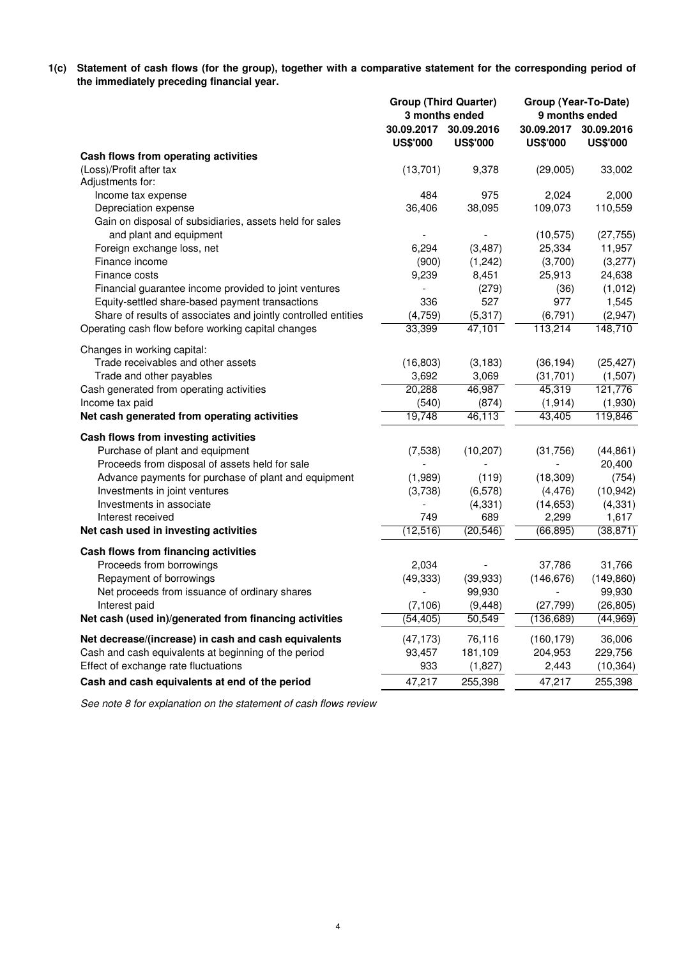**1(c) Statement of cash flows (for the group), together with a comparative statement for the corresponding period of the immediately preceding financial year.**

| 30.09.2017<br>30.09.2016<br>30.09.2017 30.09.2016<br><b>US\$'000</b><br><b>US\$'000</b><br><b>US\$'000</b><br><b>US\$'000</b><br>Cash flows from operating activities<br>(Loss)/Profit after tax<br>(13,701)<br>9,378<br>(29,005)<br>33,002<br>Adjustments for:<br>975<br>2,000<br>Income tax expense<br>484<br>2,024<br>36,406<br>38,095<br>109,073<br>110,559<br>Depreciation expense<br>Gain on disposal of subsidiaries, assets held for sales<br>and plant and equipment<br>(10, 575)<br>(27, 755)<br>6,294<br>(3, 487)<br>25,334<br>11,957<br>Foreign exchange loss, net<br>Finance income<br>(3,700)<br>(3,277)<br>(900)<br>(1,242)<br>25,913<br>24,638<br>Finance costs<br>9,239<br>8,451<br>Financial guarantee income provided to joint ventures<br>(279)<br>(36)<br>(1,012)<br>$\blacksquare$<br>527<br>977<br>Equity-settled share-based payment transactions<br>336<br>1,545<br>Share of results of associates and jointly controlled entities<br>(4,759)<br>(5,317)<br>(6, 791)<br>(2,947)<br>113,214<br>148,710<br>Operating cash flow before working capital changes<br>33,399<br>47,101<br>Changes in working capital:<br>Trade receivables and other assets<br>(36, 194)<br>(16, 803)<br>(3, 183)<br>(25, 427)<br>3,069<br>Trade and other payables<br>3,692<br>(31,701)<br>(1,507)<br>46,987<br>45,319<br>Cash generated from operating activities<br>20,288<br>121,776<br>Income tax paid<br>(540)<br>(874)<br>(1, 914)<br>(1,930)<br>19,748<br>46,113<br>43,405<br>119,846<br>Net cash generated from operating activities<br>Cash flows from investing activities<br>Purchase of plant and equipment<br>(7,538)<br>(10, 207)<br>(31,756)<br>(44, 861)<br>Proceeds from disposal of assets held for sale<br>20,400<br>Advance payments for purchase of plant and equipment<br>(1,989)<br>(18, 309)<br>(754) |
|----------------------------------------------------------------------------------------------------------------------------------------------------------------------------------------------------------------------------------------------------------------------------------------------------------------------------------------------------------------------------------------------------------------------------------------------------------------------------------------------------------------------------------------------------------------------------------------------------------------------------------------------------------------------------------------------------------------------------------------------------------------------------------------------------------------------------------------------------------------------------------------------------------------------------------------------------------------------------------------------------------------------------------------------------------------------------------------------------------------------------------------------------------------------------------------------------------------------------------------------------------------------------------------------------------------------------------------------------------------------------------------------------------------------------------------------------------------------------------------------------------------------------------------------------------------------------------------------------------------------------------------------------------------------------------------------------------------------------------------------------------------------------------------------------------------------------------|
|                                                                                                                                                                                                                                                                                                                                                                                                                                                                                                                                                                                                                                                                                                                                                                                                                                                                                                                                                                                                                                                                                                                                                                                                                                                                                                                                                                                                                                                                                                                                                                                                                                                                                                                                                                                                                                  |
|                                                                                                                                                                                                                                                                                                                                                                                                                                                                                                                                                                                                                                                                                                                                                                                                                                                                                                                                                                                                                                                                                                                                                                                                                                                                                                                                                                                                                                                                                                                                                                                                                                                                                                                                                                                                                                  |
|                                                                                                                                                                                                                                                                                                                                                                                                                                                                                                                                                                                                                                                                                                                                                                                                                                                                                                                                                                                                                                                                                                                                                                                                                                                                                                                                                                                                                                                                                                                                                                                                                                                                                                                                                                                                                                  |
|                                                                                                                                                                                                                                                                                                                                                                                                                                                                                                                                                                                                                                                                                                                                                                                                                                                                                                                                                                                                                                                                                                                                                                                                                                                                                                                                                                                                                                                                                                                                                                                                                                                                                                                                                                                                                                  |
|                                                                                                                                                                                                                                                                                                                                                                                                                                                                                                                                                                                                                                                                                                                                                                                                                                                                                                                                                                                                                                                                                                                                                                                                                                                                                                                                                                                                                                                                                                                                                                                                                                                                                                                                                                                                                                  |
|                                                                                                                                                                                                                                                                                                                                                                                                                                                                                                                                                                                                                                                                                                                                                                                                                                                                                                                                                                                                                                                                                                                                                                                                                                                                                                                                                                                                                                                                                                                                                                                                                                                                                                                                                                                                                                  |
|                                                                                                                                                                                                                                                                                                                                                                                                                                                                                                                                                                                                                                                                                                                                                                                                                                                                                                                                                                                                                                                                                                                                                                                                                                                                                                                                                                                                                                                                                                                                                                                                                                                                                                                                                                                                                                  |
|                                                                                                                                                                                                                                                                                                                                                                                                                                                                                                                                                                                                                                                                                                                                                                                                                                                                                                                                                                                                                                                                                                                                                                                                                                                                                                                                                                                                                                                                                                                                                                                                                                                                                                                                                                                                                                  |
|                                                                                                                                                                                                                                                                                                                                                                                                                                                                                                                                                                                                                                                                                                                                                                                                                                                                                                                                                                                                                                                                                                                                                                                                                                                                                                                                                                                                                                                                                                                                                                                                                                                                                                                                                                                                                                  |
|                                                                                                                                                                                                                                                                                                                                                                                                                                                                                                                                                                                                                                                                                                                                                                                                                                                                                                                                                                                                                                                                                                                                                                                                                                                                                                                                                                                                                                                                                                                                                                                                                                                                                                                                                                                                                                  |
|                                                                                                                                                                                                                                                                                                                                                                                                                                                                                                                                                                                                                                                                                                                                                                                                                                                                                                                                                                                                                                                                                                                                                                                                                                                                                                                                                                                                                                                                                                                                                                                                                                                                                                                                                                                                                                  |
|                                                                                                                                                                                                                                                                                                                                                                                                                                                                                                                                                                                                                                                                                                                                                                                                                                                                                                                                                                                                                                                                                                                                                                                                                                                                                                                                                                                                                                                                                                                                                                                                                                                                                                                                                                                                                                  |
|                                                                                                                                                                                                                                                                                                                                                                                                                                                                                                                                                                                                                                                                                                                                                                                                                                                                                                                                                                                                                                                                                                                                                                                                                                                                                                                                                                                                                                                                                                                                                                                                                                                                                                                                                                                                                                  |
|                                                                                                                                                                                                                                                                                                                                                                                                                                                                                                                                                                                                                                                                                                                                                                                                                                                                                                                                                                                                                                                                                                                                                                                                                                                                                                                                                                                                                                                                                                                                                                                                                                                                                                                                                                                                                                  |
|                                                                                                                                                                                                                                                                                                                                                                                                                                                                                                                                                                                                                                                                                                                                                                                                                                                                                                                                                                                                                                                                                                                                                                                                                                                                                                                                                                                                                                                                                                                                                                                                                                                                                                                                                                                                                                  |
|                                                                                                                                                                                                                                                                                                                                                                                                                                                                                                                                                                                                                                                                                                                                                                                                                                                                                                                                                                                                                                                                                                                                                                                                                                                                                                                                                                                                                                                                                                                                                                                                                                                                                                                                                                                                                                  |
|                                                                                                                                                                                                                                                                                                                                                                                                                                                                                                                                                                                                                                                                                                                                                                                                                                                                                                                                                                                                                                                                                                                                                                                                                                                                                                                                                                                                                                                                                                                                                                                                                                                                                                                                                                                                                                  |
|                                                                                                                                                                                                                                                                                                                                                                                                                                                                                                                                                                                                                                                                                                                                                                                                                                                                                                                                                                                                                                                                                                                                                                                                                                                                                                                                                                                                                                                                                                                                                                                                                                                                                                                                                                                                                                  |
|                                                                                                                                                                                                                                                                                                                                                                                                                                                                                                                                                                                                                                                                                                                                                                                                                                                                                                                                                                                                                                                                                                                                                                                                                                                                                                                                                                                                                                                                                                                                                                                                                                                                                                                                                                                                                                  |
|                                                                                                                                                                                                                                                                                                                                                                                                                                                                                                                                                                                                                                                                                                                                                                                                                                                                                                                                                                                                                                                                                                                                                                                                                                                                                                                                                                                                                                                                                                                                                                                                                                                                                                                                                                                                                                  |
|                                                                                                                                                                                                                                                                                                                                                                                                                                                                                                                                                                                                                                                                                                                                                                                                                                                                                                                                                                                                                                                                                                                                                                                                                                                                                                                                                                                                                                                                                                                                                                                                                                                                                                                                                                                                                                  |
|                                                                                                                                                                                                                                                                                                                                                                                                                                                                                                                                                                                                                                                                                                                                                                                                                                                                                                                                                                                                                                                                                                                                                                                                                                                                                                                                                                                                                                                                                                                                                                                                                                                                                                                                                                                                                                  |
|                                                                                                                                                                                                                                                                                                                                                                                                                                                                                                                                                                                                                                                                                                                                                                                                                                                                                                                                                                                                                                                                                                                                                                                                                                                                                                                                                                                                                                                                                                                                                                                                                                                                                                                                                                                                                                  |
|                                                                                                                                                                                                                                                                                                                                                                                                                                                                                                                                                                                                                                                                                                                                                                                                                                                                                                                                                                                                                                                                                                                                                                                                                                                                                                                                                                                                                                                                                                                                                                                                                                                                                                                                                                                                                                  |
| (119)                                                                                                                                                                                                                                                                                                                                                                                                                                                                                                                                                                                                                                                                                                                                                                                                                                                                                                                                                                                                                                                                                                                                                                                                                                                                                                                                                                                                                                                                                                                                                                                                                                                                                                                                                                                                                            |
| Investments in joint ventures<br>(3,738)<br>(6, 578)<br>(4, 476)<br>(10, 942)                                                                                                                                                                                                                                                                                                                                                                                                                                                                                                                                                                                                                                                                                                                                                                                                                                                                                                                                                                                                                                                                                                                                                                                                                                                                                                                                                                                                                                                                                                                                                                                                                                                                                                                                                    |
| Investments in associate<br>(4, 331)<br>(14, 653)<br>(4, 331)                                                                                                                                                                                                                                                                                                                                                                                                                                                                                                                                                                                                                                                                                                                                                                                                                                                                                                                                                                                                                                                                                                                                                                                                                                                                                                                                                                                                                                                                                                                                                                                                                                                                                                                                                                    |
| 749<br>689<br>2,299<br>1,617<br>Interest received                                                                                                                                                                                                                                                                                                                                                                                                                                                                                                                                                                                                                                                                                                                                                                                                                                                                                                                                                                                                                                                                                                                                                                                                                                                                                                                                                                                                                                                                                                                                                                                                                                                                                                                                                                                |
| (66, 895)<br>(38, 871)<br>Net cash used in investing activities<br>(12, 516)<br>(20, 546)                                                                                                                                                                                                                                                                                                                                                                                                                                                                                                                                                                                                                                                                                                                                                                                                                                                                                                                                                                                                                                                                                                                                                                                                                                                                                                                                                                                                                                                                                                                                                                                                                                                                                                                                        |
| Cash flows from financing activities                                                                                                                                                                                                                                                                                                                                                                                                                                                                                                                                                                                                                                                                                                                                                                                                                                                                                                                                                                                                                                                                                                                                                                                                                                                                                                                                                                                                                                                                                                                                                                                                                                                                                                                                                                                             |
| Proceeds from borrowings<br>2,034<br>37,786<br>31,766                                                                                                                                                                                                                                                                                                                                                                                                                                                                                                                                                                                                                                                                                                                                                                                                                                                                                                                                                                                                                                                                                                                                                                                                                                                                                                                                                                                                                                                                                                                                                                                                                                                                                                                                                                            |
| Repayment of borrowings<br>(49, 333)<br>(146, 676)<br>(149, 860)<br>(39, 933)                                                                                                                                                                                                                                                                                                                                                                                                                                                                                                                                                                                                                                                                                                                                                                                                                                                                                                                                                                                                                                                                                                                                                                                                                                                                                                                                                                                                                                                                                                                                                                                                                                                                                                                                                    |
| Net proceeds from issuance of ordinary shares<br>99,930<br>99,930                                                                                                                                                                                                                                                                                                                                                                                                                                                                                                                                                                                                                                                                                                                                                                                                                                                                                                                                                                                                                                                                                                                                                                                                                                                                                                                                                                                                                                                                                                                                                                                                                                                                                                                                                                |
| Interest paid<br>(7, 106)<br>(9, 448)<br>(26, 805)<br>(27,799)                                                                                                                                                                                                                                                                                                                                                                                                                                                                                                                                                                                                                                                                                                                                                                                                                                                                                                                                                                                                                                                                                                                                                                                                                                                                                                                                                                                                                                                                                                                                                                                                                                                                                                                                                                   |
| Net cash (used in)/generated from financing activities<br>(54, 405)<br>50,549<br>(136, 689)<br>(44, 969)                                                                                                                                                                                                                                                                                                                                                                                                                                                                                                                                                                                                                                                                                                                                                                                                                                                                                                                                                                                                                                                                                                                                                                                                                                                                                                                                                                                                                                                                                                                                                                                                                                                                                                                         |
| Net decrease/(increase) in cash and cash equivalents<br>(47, 173)<br>76,116<br>(160, 179)<br>36,006                                                                                                                                                                                                                                                                                                                                                                                                                                                                                                                                                                                                                                                                                                                                                                                                                                                                                                                                                                                                                                                                                                                                                                                                                                                                                                                                                                                                                                                                                                                                                                                                                                                                                                                              |
| Cash and cash equivalents at beginning of the period<br>181,109<br>229,756<br>93,457<br>204,953                                                                                                                                                                                                                                                                                                                                                                                                                                                                                                                                                                                                                                                                                                                                                                                                                                                                                                                                                                                                                                                                                                                                                                                                                                                                                                                                                                                                                                                                                                                                                                                                                                                                                                                                  |
| Effect of exchange rate fluctuations<br>933<br>2,443<br>(10, 364)<br>(1,827)                                                                                                                                                                                                                                                                                                                                                                                                                                                                                                                                                                                                                                                                                                                                                                                                                                                                                                                                                                                                                                                                                                                                                                                                                                                                                                                                                                                                                                                                                                                                                                                                                                                                                                                                                     |
| 47,217<br>Cash and cash equivalents at end of the period<br>255,398<br>47,217<br>255,398                                                                                                                                                                                                                                                                                                                                                                                                                                                                                                                                                                                                                                                                                                                                                                                                                                                                                                                                                                                                                                                                                                                                                                                                                                                                                                                                                                                                                                                                                                                                                                                                                                                                                                                                         |

See note 8 for explanation on the statement of cash flows review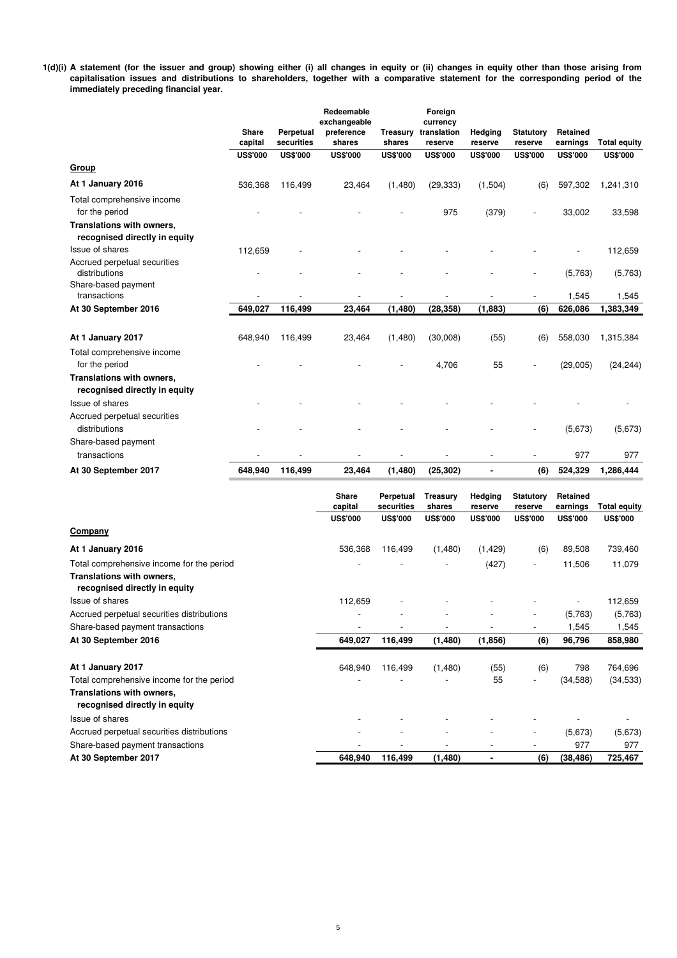**1(d)(i) A statement (for the issuer and group) showing either (i) all changes in equity or (ii) changes in equity other than those arising from capitalisation issues and distributions to shareholders, together with a comparative statement for the corresponding period of the immediately preceding financial year.**

|                                                            |                  |                         | Redeemable<br>exchangeable |                           | Foreign<br>currency    |                    |                             |                      |                     |
|------------------------------------------------------------|------------------|-------------------------|----------------------------|---------------------------|------------------------|--------------------|-----------------------------|----------------------|---------------------|
|                                                            | Share<br>capital | Perpetual<br>securities | preference<br>shares       | <b>Treasury</b><br>shares | translation<br>reserve | Hedging<br>reserve | <b>Statutory</b><br>reserve | Retained<br>earnings | <b>Total equity</b> |
|                                                            | <b>US\$'000</b>  | <b>US\$'000</b>         | <b>US\$'000</b>            | <b>US\$'000</b>           | <b>US\$'000</b>        | <b>US\$'000</b>    | <b>US\$'000</b>             | <b>US\$'000</b>      | <b>US\$'000</b>     |
| <b>Group</b>                                               |                  |                         |                            |                           |                        |                    |                             |                      |                     |
| At 1 January 2016                                          | 536,368          | 116,499                 | 23,464                     | (1,480)                   | (29, 333)              | (1,504)            | (6)                         | 597,302              | 1,241,310           |
| Total comprehensive income<br>for the period               |                  |                         |                            |                           | 975                    | (379)              |                             | 33,002               | 33,598              |
| Translations with owners,<br>recognised directly in equity |                  |                         |                            |                           |                        |                    |                             |                      |                     |
| Issue of shares                                            | 112,659          |                         |                            |                           |                        |                    |                             |                      | 112,659             |
| Accrued perpetual securities<br>distributions              |                  |                         |                            |                           |                        |                    |                             | (5,763)              | (5,763)             |
| Share-based payment<br>transactions                        |                  |                         |                            |                           |                        |                    |                             | 1,545                | 1,545               |
| At 30 September 2016                                       | 649,027          | 116,499                 | 23,464                     | (1, 480)                  | (28, 358)              | (1,883)            | (6)                         | 626,086              | 1,383,349           |
|                                                            |                  |                         |                            |                           |                        |                    |                             |                      |                     |
| At 1 January 2017                                          | 648,940          | 116,499                 | 23,464                     | (1,480)                   | (30,008)               | (55)               | (6)                         | 558,030              | 1,315,384           |
| Total comprehensive income<br>for the period               |                  |                         |                            |                           | 4,706                  | 55                 |                             | (29,005)             | (24, 244)           |
| Translations with owners,<br>recognised directly in equity |                  |                         |                            |                           |                        |                    |                             |                      |                     |
| Issue of shares                                            |                  |                         |                            |                           |                        |                    |                             |                      |                     |
| Accrued perpetual securities<br>distributions              |                  |                         |                            |                           |                        |                    |                             | (5,673)              | (5,673)             |
| Share-based payment<br>transactions                        |                  |                         |                            |                           |                        |                    |                             | 977                  | 977                 |
| At 30 September 2017                                       | 648,940          | 116,499                 | 23,464                     | (1,480)                   | (25, 302)              |                    | (6)                         | 524,329              | 1,286,444           |
|                                                            |                  |                         |                            |                           |                        |                    |                             |                      |                     |

|                                                            | <b>Share</b><br>capital | Perpetual<br>securities | <b>Treasurv</b><br>shares | Hedging<br>reserve | <b>Statutory</b><br>reserve | Retained<br>earnings | <b>Total equity</b> |
|------------------------------------------------------------|-------------------------|-------------------------|---------------------------|--------------------|-----------------------------|----------------------|---------------------|
|                                                            | <b>US\$'000</b>         | <b>US\$'000</b>         | <b>US\$'000</b>           | <b>US\$'000</b>    | <b>US\$'000</b>             | <b>US\$'000</b>      | <b>US\$'000</b>     |
| Company                                                    |                         |                         |                           |                    |                             |                      |                     |
| At 1 January 2016                                          | 536,368                 | 116,499                 | (1,480)                   | (1, 429)           | (6)                         | 89,508               | 739,460             |
| Total comprehensive income for the period                  |                         |                         |                           | (427)              | $\overline{\phantom{a}}$    | 11,506               | 11,079              |
| Translations with owners,<br>recognised directly in equity |                         |                         |                           |                    |                             |                      |                     |
| Issue of shares                                            | 112,659                 |                         |                           |                    |                             |                      | 112,659             |
| Accrued perpetual securities distributions                 |                         |                         |                           |                    |                             | (5,763)              | (5,763)             |
| Share-based payment transactions                           |                         |                         | $\overline{\phantom{0}}$  |                    |                             | 1,545                | 1,545               |
| At 30 September 2016                                       | 649,027                 | 116,499                 | (1,480)                   | (1,856)            | (6)                         | 96,796               | 858,980             |
| At 1 January 2017                                          | 648,940                 | 116,499                 | (1,480)                   | (55)               | (6)                         | 798                  | 764,696             |
| Total comprehensive income for the period                  |                         |                         |                           | 55                 |                             | (34, 588)            | (34, 533)           |
| Translations with owners,<br>recognised directly in equity |                         |                         |                           |                    |                             |                      |                     |
| Issue of shares                                            |                         |                         |                           |                    |                             |                      |                     |
| Accrued perpetual securities distributions                 |                         |                         |                           |                    |                             | (5,673)              | (5,673)             |
| Share-based payment transactions                           |                         |                         |                           |                    |                             | 977                  | 977                 |
| At 30 September 2017                                       | 648,940                 | 116,499                 | (1, 480)                  |                    | (6)                         | (38, 486)            | 725,467             |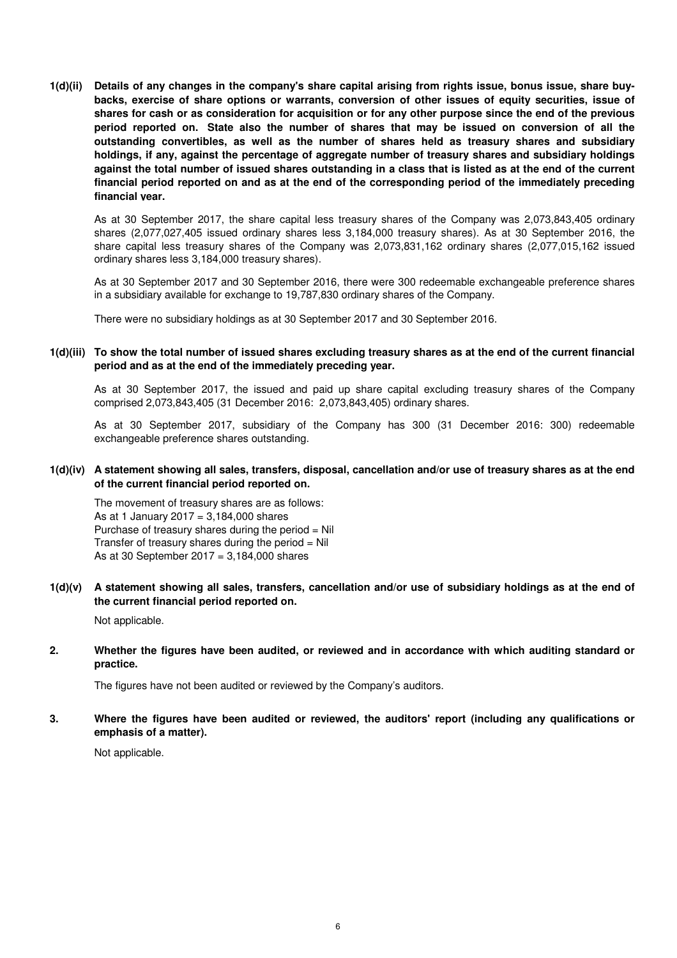**1(d)(ii) Details of any changes in the company's share capital arising from rights issue, bonus issue, share buybacks, exercise of share options or warrants, conversion of other issues of equity securities, issue of shares for cash or as consideration for acquisition or for any other purpose since the end of the previous period reported on. State also the number of shares that may be issued on conversion of all the outstanding convertibles, as well as the number of shares held as treasury shares and subsidiary holdings, if any, against the percentage of aggregate number of treasury shares and subsidiary holdings against the total number of issued shares outstanding in a class that is listed as at the end of the current financial period reported on and as at the end of the corresponding period of the immediately preceding financial year.**

As at 30 September 2017, the share capital less treasury shares of the Company was 2,073,843,405 ordinary shares (2,077,027,405 issued ordinary shares less 3,184,000 treasury shares). As at 30 September 2016, the share capital less treasury shares of the Company was 2,073,831,162 ordinary shares (2,077,015,162 issued ordinary shares less 3,184,000 treasury shares).

As at 30 September 2017 and 30 September 2016, there were 300 redeemable exchangeable preference shares in a subsidiary available for exchange to 19,787,830 ordinary shares of the Company.

There were no subsidiary holdings as at 30 September 2017 and 30 September 2016.

#### **1(d)(iii) To show the total number of issued shares excluding treasury shares as at the end of the current financial period and as at the end of the immediately preceding year.**

As at 30 September 2017, the issued and paid up share capital excluding treasury shares of the Company comprised 2,073,843,405 (31 December 2016: 2,073,843,405) ordinary shares.

As at 30 September 2017, subsidiary of the Company has 300 (31 December 2016: 300) redeemable exchangeable preference shares outstanding.

#### **1(d)(iv) A statement showing all sales, transfers, disposal, cancellation and/or use of treasury shares as at the end of the current financial period reported on.**

The movement of treasury shares are as follows: As at 1 January 2017 =  $3,184,000$  shares Purchase of treasury shares during the period = Nil Transfer of treasury shares during the period  $=$  Nil As at 30 September 2017 = 3,184,000 shares

#### **1(d)(v) A statement showing all sales, transfers, cancellation and/or use of subsidiary holdings as at the end of the current financial period reported on.**

Not applicable.

#### **2. Whether the figures have been audited, or reviewed and in accordance with which auditing standard or practice.**

The figures have not been audited or reviewed by the Company's auditors.

#### **3. Where the figures have been audited or reviewed, the auditors' report (including any qualifications or emphasis of a matter).**

Not applicable.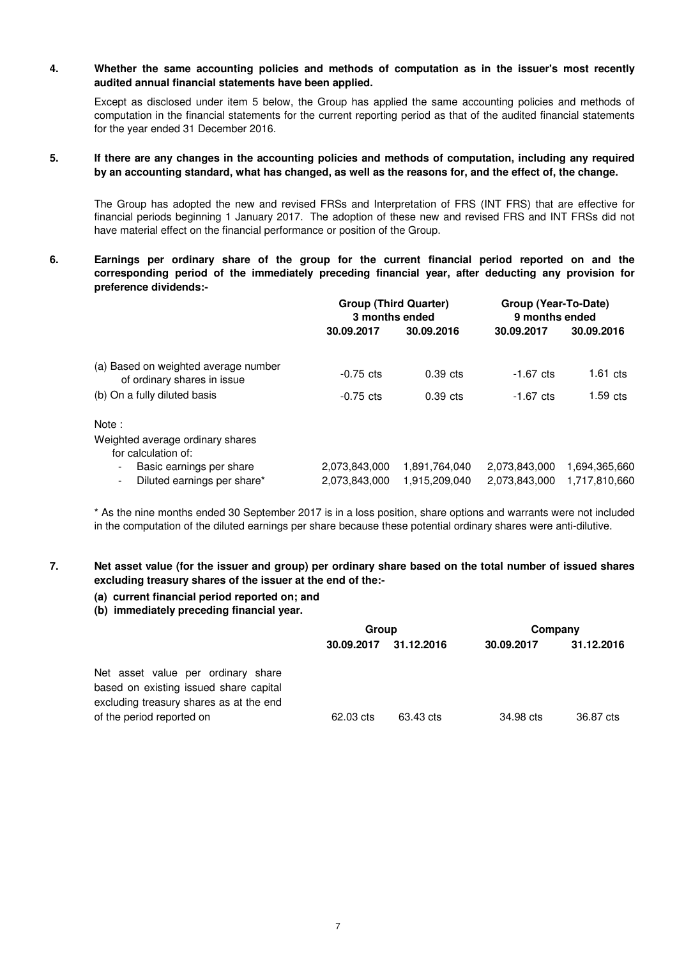#### **4. Whether the same accounting policies and methods of computation as in the issuer's most recently audited annual financial statements have been applied.**

Except as disclosed under item 5 below, the Group has applied the same accounting policies and methods of computation in the financial statements for the current reporting period as that of the audited financial statements for the year ended 31 December 2016.

#### **5. If there are any changes in the accounting policies and methods of computation, including any required by an accounting standard, what has changed, as well as the reasons for, and the effect of, the change.**

The Group has adopted the new and revised FRSs and Interpretation of FRS (INT FRS) that are effective for financial periods beginning 1 January 2017. The adoption of these new and revised FRS and INT FRSs did not have material effect on the financial performance or position of the Group.

**6. Earnings per ordinary share of the group for the current financial period reported on and the corresponding period of the immediately preceding financial year, after deducting any provision for preference dividends:-**

|                                                                                                       | <b>Group (Third Quarter)</b><br>3 months ended |                                | Group (Year-To-Date)<br>9 months ended |                                |  |
|-------------------------------------------------------------------------------------------------------|------------------------------------------------|--------------------------------|----------------------------------------|--------------------------------|--|
|                                                                                                       | 30.09.2017                                     | 30.09.2016                     | 30.09.2017                             | 30.09.2016                     |  |
| (a) Based on weighted average number<br>of ordinary shares in issue                                   | $-0.75$ cts                                    | $0.39$ cts                     | $-1.67 \text{ cts}$                    | $1.61$ cts                     |  |
| (b) On a fully diluted basis                                                                          | $-0.75$ cts                                    | $0.39$ cts                     | $-1.67 \text{ cts}$                    | $1.59$ cts                     |  |
| Note:                                                                                                 |                                                |                                |                                        |                                |  |
| Weighted average ordinary shares<br>for calculation of:                                               |                                                |                                |                                        |                                |  |
| Basic earnings per share<br>$\overline{\phantom{a}}$<br>Diluted earnings per share*<br>$\blacksquare$ | 2,073,843,000<br>2,073,843,000                 | 1,891,764,040<br>1,915,209,040 | 2,073,843,000<br>2,073,843,000         | 1,694,365,660<br>1,717,810,660 |  |

\* As the nine months ended 30 September 2017 is in a loss position, share options and warrants were not included in the computation of the diluted earnings per share because these potential ordinary shares were anti-dilutive.

#### **7. Net asset value (for the issuer and group) per ordinary share based on the total number of issued shares excluding treasury shares of the issuer at the end of the:-**

### **(a) current financial period reported on; and**

#### **(b) immediately preceding financial year.**

|                                                                                                                         | Group      |            | Company    |            |
|-------------------------------------------------------------------------------------------------------------------------|------------|------------|------------|------------|
|                                                                                                                         | 30.09.2017 | 31.12.2016 | 30.09.2017 | 31.12.2016 |
| Net asset value per ordinary share<br>based on existing issued share capital<br>excluding treasury shares as at the end |            |            |            |            |
| of the period reported on                                                                                               | 62.03 cts  | 63.43 cts  | 34.98 cts  | 36.87 cts  |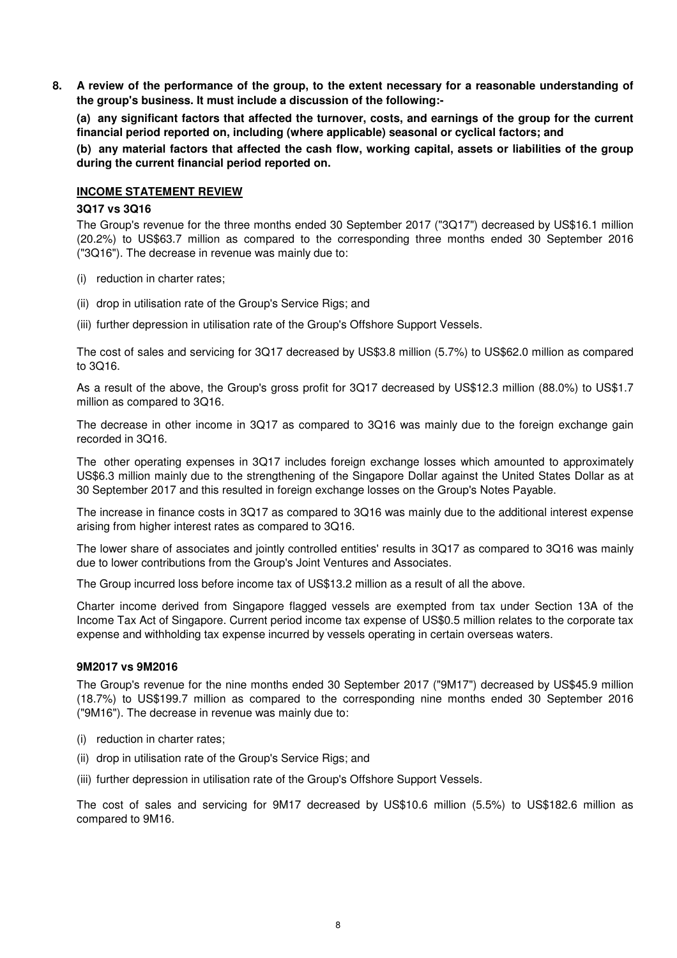**8. A review of the performance of the group, to the extent necessary for a reasonable understanding of the group's business. It must include a discussion of the following:-** 

**(a) any significant factors that affected the turnover, costs, and earnings of the group for the current financial period reported on, including (where applicable) seasonal or cyclical factors; and**

**(b) any material factors that affected the cash flow, working capital, assets or liabilities of the group during the current financial period reported on.**

### **INCOME STATEMENT REVIEW**

#### **3Q17 vs 3Q16**

The Group's revenue for the three months ended 30 September 2017 ("3Q17") decreased by US\$16.1 million (20.2%) to US\$63.7 million as compared to the corresponding three months ended 30 September 2016 ("3Q16"). The decrease in revenue was mainly due to:

- (i) reduction in charter rates;
- (ii) drop in utilisation rate of the Group's Service Rigs; and
- (iii) further depression in utilisation rate of the Group's Offshore Support Vessels.

The cost of sales and servicing for 3Q17 decreased by US\$3.8 million (5.7%) to US\$62.0 million as compared to 3Q16.

As a result of the above, the Group's gross profit for 3Q17 decreased by US\$12.3 million (88.0%) to US\$1.7 million as compared to 3Q16.

The decrease in other income in 3Q17 as compared to 3Q16 was mainly due to the foreign exchange gain recorded in 3Q16.

The other operating expenses in 3Q17 includes foreign exchange losses which amounted to approximately US\$6.3 million mainly due to the strengthening of the Singapore Dollar against the United States Dollar as at 30 September 2017 and this resulted in foreign exchange losses on the Group's Notes Payable.

The increase in finance costs in 3Q17 as compared to 3Q16 was mainly due to the additional interest expense arising from higher interest rates as compared to 3Q16.

The lower share of associates and jointly controlled entities' results in 3Q17 as compared to 3Q16 was mainly due to lower contributions from the Group's Joint Ventures and Associates.

The Group incurred loss before income tax of US\$13.2 million as a result of all the above.

Charter income derived from Singapore flagged vessels are exempted from tax under Section 13A of the Income Tax Act of Singapore. Current period income tax expense of US\$0.5 million relates to the corporate tax expense and withholding tax expense incurred by vessels operating in certain overseas waters.

### **9M2017 vs 9M2016**

The Group's revenue for the nine months ended 30 September 2017 ("9M17") decreased by US\$45.9 million (18.7%) to US\$199.7 million as compared to the corresponding nine months ended 30 September 2016 ("9M16"). The decrease in revenue was mainly due to:

- (i) reduction in charter rates;
- (ii) drop in utilisation rate of the Group's Service Rigs; and
- (iii) further depression in utilisation rate of the Group's Offshore Support Vessels.

The cost of sales and servicing for 9M17 decreased by US\$10.6 million (5.5%) to US\$182.6 million as compared to 9M16.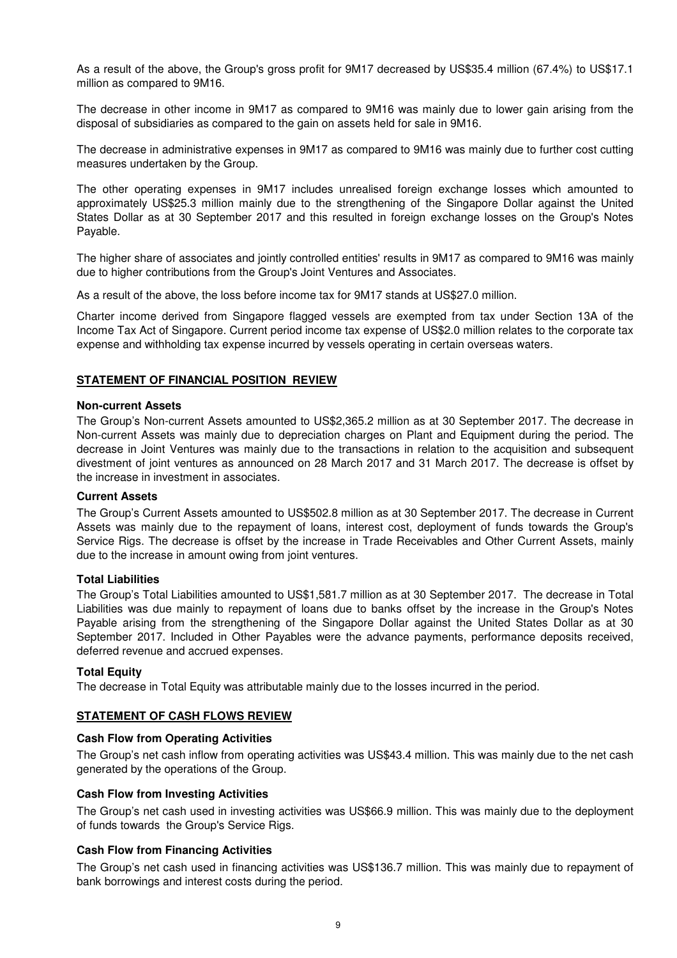As a result of the above, the Group's gross profit for 9M17 decreased by US\$35.4 million (67.4%) to US\$17.1 million as compared to 9M16.

The decrease in other income in 9M17 as compared to 9M16 was mainly due to lower gain arising from the disposal of subsidiaries as compared to the gain on assets held for sale in 9M16.

The decrease in administrative expenses in 9M17 as compared to 9M16 was mainly due to further cost cutting measures undertaken by the Group.

The other operating expenses in 9M17 includes unrealised foreign exchange losses which amounted to approximately US\$25.3 million mainly due to the strengthening of the Singapore Dollar against the United States Dollar as at 30 September 2017 and this resulted in foreign exchange losses on the Group's Notes Payable.

The higher share of associates and jointly controlled entities' results in 9M17 as compared to 9M16 was mainly due to higher contributions from the Group's Joint Ventures and Associates.

As a result of the above, the loss before income tax for 9M17 stands at US\$27.0 million.

Charter income derived from Singapore flagged vessels are exempted from tax under Section 13A of the Income Tax Act of Singapore. Current period income tax expense of US\$2.0 million relates to the corporate tax expense and withholding tax expense incurred by vessels operating in certain overseas waters.

#### **STATEMENT OF FINANCIAL POSITION REVIEW**

#### **Non-current Assets**

The Group's Non-current Assets amounted to US\$2,365.2 million as at 30 September 2017. The decrease in Non-current Assets was mainly due to depreciation charges on Plant and Equipment during the period. The decrease in Joint Ventures was mainly due to the transactions in relation to the acquisition and subsequent divestment of joint ventures as announced on 28 March 2017 and 31 March 2017. The decrease is offset by the increase in investment in associates.

### **Current Assets**

The Group's Current Assets amounted to US\$502.8 million as at 30 September 2017. The decrease in Current Assets was mainly due to the repayment of loans, interest cost, deployment of funds towards the Group's Service Rigs. The decrease is offset by the increase in Trade Receivables and Other Current Assets, mainly due to the increase in amount owing from joint ventures.

#### **Total Liabilities**

The Group's Total Liabilities amounted to US\$1,581.7 million as at 30 September 2017. The decrease in Total Liabilities was due mainly to repayment of loans due to banks offset by the increase in the Group's Notes Payable arising from the strengthening of the Singapore Dollar against the United States Dollar as at 30 September 2017. Included in Other Payables were the advance payments, performance deposits received, deferred revenue and accrued expenses.

#### **Total Equity**

The decrease in Total Equity was attributable mainly due to the losses incurred in the period.

# **STATEMENT OF CASH FLOWS REVIEW**

#### **Cash Flow from Operating Activities**

The Group's net cash inflow from operating activities was US\$43.4 million. This was mainly due to the net cash generated by the operations of the Group.

#### **Cash Flow from Investing Activities**

The Group's net cash used in investing activities was US\$66.9 million. This was mainly due to the deployment of funds towards the Group's Service Rigs.

# . **Cash Flow from Financing Activities**

The Group's net cash used in financing activities was US\$136.7 million. This was mainly due to repayment of bank borrowings and interest costs during the period.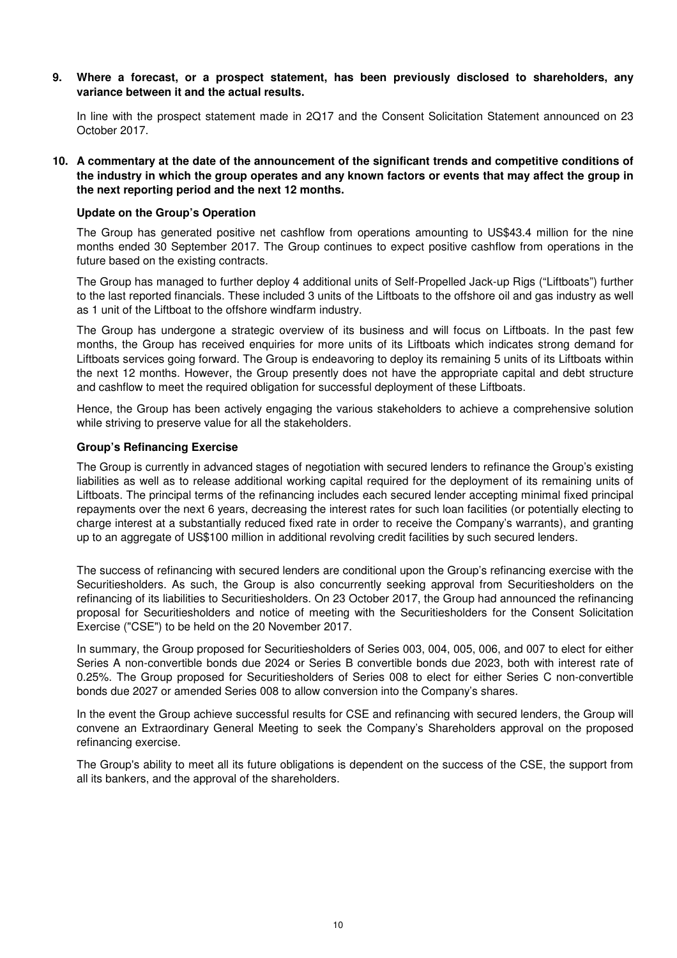**9. Where a forecast, or a prospect statement, has been previously disclosed to shareholders, any variance between it and the actual results.**

In line with the prospect statement made in 2Q17 and the Consent Solicitation Statement announced on 23 October 2017.

**10. A commentary at the date of the announcement of the significant trends and competitive conditions of the industry in which the group operates and any known factors or events that may affect the group in the next reporting period and the next 12 months.**

#### **Update on the Group's Operation**

The Group has generated positive net cashflow from operations amounting to US\$43.4 million for the nine months ended 30 September 2017. The Group continues to expect positive cashflow from operations in the future based on the existing contracts.

The Group has managed to further deploy 4 additional units of Self-Propelled Jack-up Rigs ("Liftboats") further to the last reported financials. These included 3 units of the Liftboats to the offshore oil and gas industry as well as 1 unit of the Liftboat to the offshore windfarm industry.

The Group has undergone a strategic overview of its business and will focus on Liftboats. In the past few months, the Group has received enquiries for more units of its Liftboats which indicates strong demand for Liftboats services going forward. The Group is endeavoring to deploy its remaining 5 units of its Liftboats within the next 12 months. However, the Group presently does not have the appropriate capital and debt structure and cashflow to meet the required obligation for successful deployment of these Liftboats.

Hence, the Group has been actively engaging the various stakeholders to achieve a comprehensive solution while striving to preserve value for all the stakeholders.

### **Group's Refinancing Exercise**

The Group is currently in advanced stages of negotiation with secured lenders to refinance the Group's existing liabilities as well as to release additional working capital required for the deployment of its remaining units of Liftboats. The principal terms of the refinancing includes each secured lender accepting minimal fixed principal repayments over the next 6 years, decreasing the interest rates for such loan facilities (or potentially electing to charge interest at a substantially reduced fixed rate in order to receive the Company's warrants), and granting up to an aggregate of US\$100 million in additional revolving credit facilities by such secured lenders.

The success of refinancing with secured lenders are conditional upon the Group's refinancing exercise with the Securitiesholders. As such, the Group is also concurrently seeking approval from Securitiesholders on the refinancing of its liabilities to Securitiesholders. On 23 October 2017, the Group had announced the refinancing proposal for Securitiesholders and notice of meeting with the Securitiesholders for the Consent Solicitation Exercise ("CSE") to be held on the 20 November 2017.

In summary, the Group proposed for Securitiesholders of Series 003, 004, 005, 006, and 007 to elect for either Series A non-convertible bonds due 2024 or Series B convertible bonds due 2023, both with interest rate of 0.25%. The Group proposed for Securitiesholders of Series 008 to elect for either Series C non-convertible bonds due 2027 or amended Series 008 to allow conversion into the Company's shares.

In the event the Group achieve successful results for CSE and refinancing with secured lenders, the Group will convene an Extraordinary General Meeting to seek the Company's Shareholders approval on the proposed refinancing exercise.

The Group's ability to meet all its future obligations is dependent on the success of the CSE, the support from all its bankers, and the approval of the shareholders.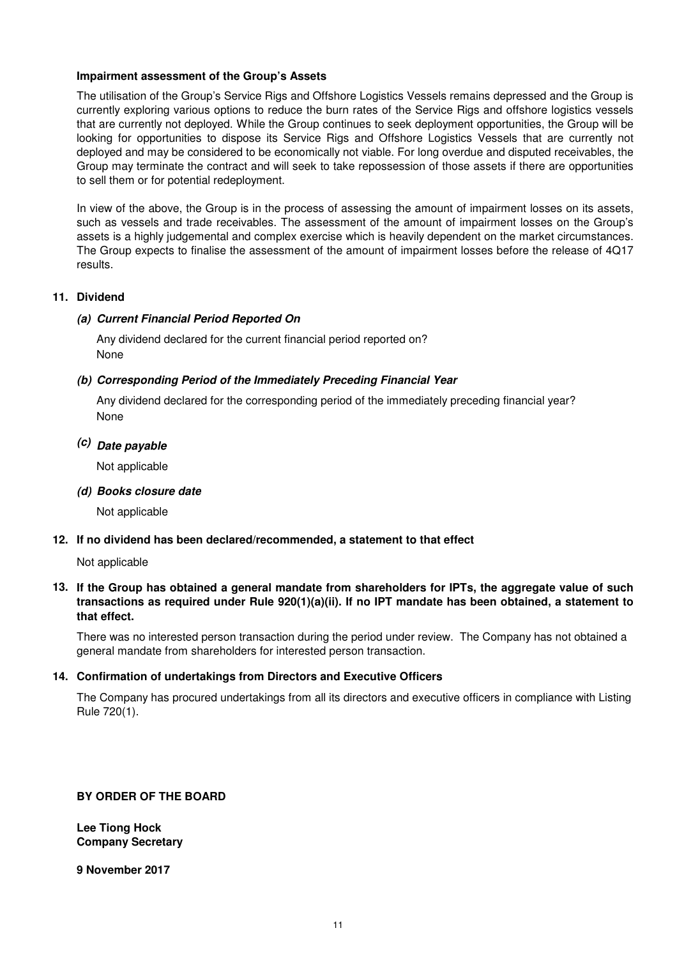### **Impairment assessment of the Group's Assets**

The utilisation of the Group's Service Rigs and Offshore Logistics Vessels remains depressed and the Group is currently exploring various options to reduce the burn rates of the Service Rigs and offshore logistics vessels that are currently not deployed. While the Group continues to seek deployment opportunities, the Group will be looking for opportunities to dispose its Service Rigs and Offshore Logistics Vessels that are currently not deployed and may be considered to be economically not viable. For long overdue and disputed receivables, the Group may terminate the contract and will seek to take repossession of those assets if there are opportunities to sell them or for potential redeployment.

In view of the above, the Group is in the process of assessing the amount of impairment losses on its assets, such as vessels and trade receivables. The assessment of the amount of impairment losses on the Group's assets is a highly judgemental and complex exercise which is heavily dependent on the market circumstances. The Group expects to finalise the assessment of the amount of impairment losses before the release of 4Q17 results.

### **11. Dividend**

# **(a) Current Financial Period Reported On**

Any dividend declared for the current financial period reported on? None

### **(b) Corresponding Period of the Immediately Preceding Financial Year**

None Any dividend declared for the corresponding period of the immediately preceding financial year?

# **(c) Date payable**

Not applicable

**(d) Books closure date**

Not applicable

# **12. If no dividend has been declared/recommended, a statement to that effect**

Not applicable

# **13. If the Group has obtained a general mandate from shareholders for IPTs, the aggregate value of such transactions as required under Rule 920(1)(a)(ii). If no IPT mandate has been obtained, a statement to that effect.**

There was no interested person transaction during the period under review. The Company has not obtained a general mandate from shareholders for interested person transaction.

# **14. Confirmation of undertakings from Directors and Executive Officers**

The Company has procured undertakings from all its directors and executive officers in compliance with Listing Rule 720(1).

# **BY ORDER OF THE BOARD**

**Lee Tiong Hock Company Secretary**

**9 November 2017**